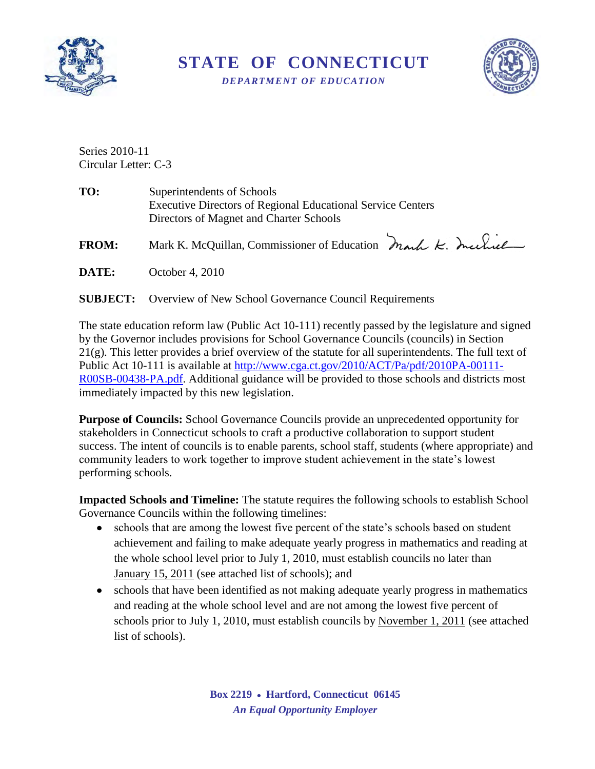

**STATE OF CONNECTICUT** 

*DEPARTMENT OF EDUCATION* 



Series 2010-11 Circular Letter: C-3

| TO: | Superintendents of Schools                                         |  |  |
|-----|--------------------------------------------------------------------|--|--|
|     | <b>Executive Directors of Regional Educational Service Centers</b> |  |  |
|     | Directors of Magnet and Charter Schools                            |  |  |
|     |                                                                    |  |  |

FROM: Mark K. McQuillan, Commissioner of Education Mark K. Inclue

**DATE:** October 4, 2010

#### **SUBJECT:** Overview of New School Governance Council Requirements

The state education reform law (Public Act 10-111) recently passed by the legislature and signed by the Governor includes provisions for School Governance Councils (councils) in Section 21(g). This letter provides a brief overview of the statute for all superintendents. The full text of Public Act 10-111 is available at [http://www.cga.ct.gov/2010/ACT/Pa/pdf/2010PA-00111-](http://www.cga.ct.gov/2010/ACT/Pa/pdf/2010PA-00111-R00SB-00438-PA.pdf) [R00SB-00438-PA.pdf.](http://www.cga.ct.gov/2010/ACT/Pa/pdf/2010PA-00111-R00SB-00438-PA.pdf) Additional guidance will be provided to those schools and districts most immediately impacted by this new legislation.

**Purpose of Councils:** School Governance Councils provide an unprecedented opportunity for stakeholders in Connecticut schools to craft a productive collaboration to support student success. The intent of councils is to enable parents, school staff, students (where appropriate) and community leaders to work together to improve student achievement in the state's lowest performing schools.

**Impacted Schools and Timeline:** The statute requires the following schools to establish School Governance Councils within the following timelines:

- schools that are among the lowest five percent of the state's schools based on student achievement and failing to make adequate yearly progress in mathematics and reading at the whole school level prior to July 1, 2010, must establish councils no later than January 15, 2011 (see attached list of schools); and
- schools that have been identified as not making adequate yearly progress in mathematics and reading at the whole school level and are not among the lowest five percent of schools prior to July 1, 2010, must establish councils by November 1, 2011 (see attached list of schools).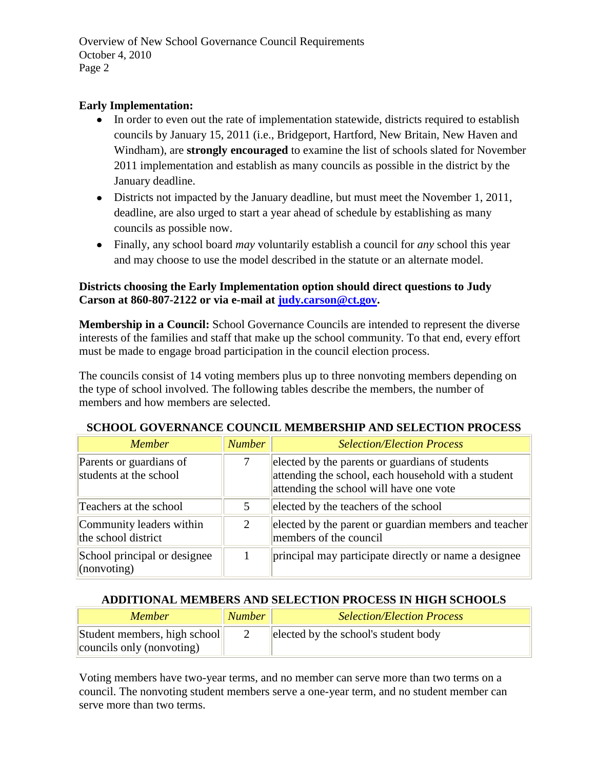Overview of New School Governance Council Requirements October 4, 2010 Page 2

#### **Early Implementation:**

- In order to even out the rate of implementation statewide, districts required to establish councils by January 15, 2011 (i.e., Bridgeport, Hartford, New Britain, New Haven and Windham), are **strongly encouraged** to examine the list of schools slated for November 2011 implementation and establish as many councils as possible in the district by the January deadline.
- Districts not impacted by the January deadline, but must meet the November 1, 2011, deadline, are also urged to start a year ahead of schedule by establishing as many councils as possible now.
- Finally, any school board *may* voluntarily establish a council for *any* school this year and may choose to use the model described in the statute or an alternate model.

#### **Districts choosing the Early Implementation option should direct questions to Judy Carson at 860-807-2122 or via e-mail at [judy.carson@ct.gov.](mailto:judy.carson@ct.gov)**

**Membership in a Council:** School Governance Councils are intended to represent the diverse interests of the families and staff that make up the school community. To that end, every effort must be made to engage broad participation in the council election process.

The councils consist of 14 voting members plus up to three nonvoting members depending on the type of school involved. The following tables describe the members, the number of members and how members are selected.

| <i>Member</i>                                         | <b>Number</b> | <b>Selection/Election Process</b>                                                                                                                 |
|-------------------------------------------------------|---------------|---------------------------------------------------------------------------------------------------------------------------------------------------|
| Parents or guardians of<br>students at the school     |               | elected by the parents or guardians of students<br>attending the school, each household with a student<br>attending the school will have one vote |
| Teachers at the school                                | 5.            | elected by the teachers of the school                                                                                                             |
| Community leaders within<br>the school district       | 2             | elected by the parent or guardian members and teacher<br>members of the council                                                                   |
| School principal or designee<br>$\langle$ (nonvoting) |               | principal may participate directly or name a designee                                                                                             |

#### **SCHOOL GOVERNANCE COUNCIL MEMBERSHIP AND SELECTION PROCESS**

#### **ADDITIONAL MEMBERS AND SELECTION PROCESS IN HIGH SCHOOLS**

| <b>Member</b>                | <b>Number</b> | <b>Selection/Election Process</b>    |
|------------------------------|---------------|--------------------------------------|
| Student members, high school |               | elected by the school's student body |
| councils only (nonvoting)    |               |                                      |

Voting members have two-year terms, and no member can serve more than two terms on a council. The nonvoting student members serve a one-year term, and no student member can serve more than two terms.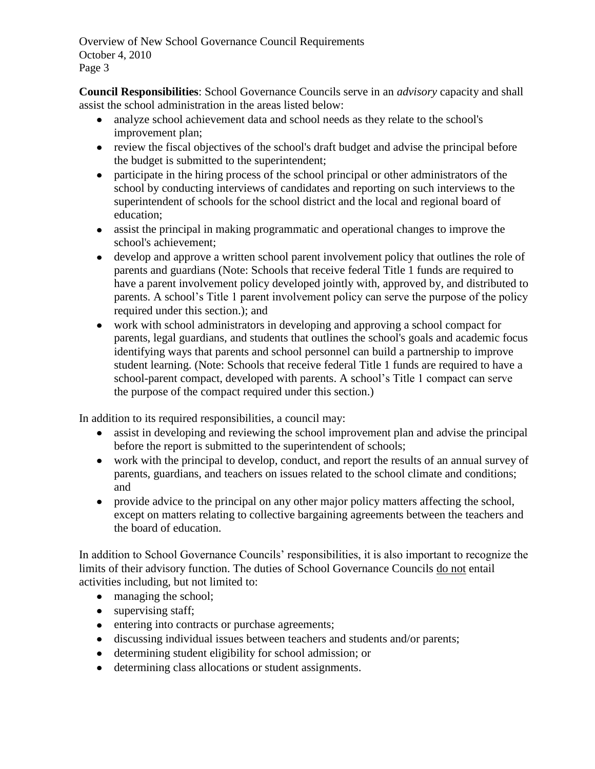Overview of New School Governance Council Requirements October 4, 2010 Page 3

**Council Responsibilities**: School Governance Councils serve in an *advisory* capacity and shall assist the school administration in the areas listed below:

- analyze school achievement data and school needs as they relate to the school's improvement plan;
- review the fiscal objectives of the school's draft budget and advise the principal before the budget is submitted to the superintendent;
- participate in the hiring process of the school principal or other administrators of the school by conducting interviews of candidates and reporting on such interviews to the superintendent of schools for the school district and the local and regional board of education;
- assist the principal in making programmatic and operational changes to improve the school's achievement;
- develop and approve a written school parent involvement policy that outlines the role of parents and guardians (Note: Schools that receive federal Title 1 funds are required to have a parent involvement policy developed jointly with, approved by, and distributed to parents. A school's Title 1 parent involvement policy can serve the purpose of the policy required under this section.); and
- work with school administrators in developing and approving a school compact for  $\bullet$ parents, legal guardians, and students that outlines the school's goals and academic focus identifying ways that parents and school personnel can build a partnership to improve student learning. (Note: Schools that receive federal Title 1 funds are required to have a school-parent compact, developed with parents. A school's Title 1 compact can serve the purpose of the compact required under this section.)

In addition to its required responsibilities, a council may:

- assist in developing and reviewing the school improvement plan and advise the principal before the report is submitted to the superintendent of schools;
- work with the principal to develop, conduct, and report the results of an annual survey of parents, guardians, and teachers on issues related to the school climate and conditions; and
- provide advice to the principal on any other major policy matters affecting the school, except on matters relating to collective bargaining agreements between the teachers and the board of education.

In addition to School Governance Councils' responsibilities, it is also important to recognize the limits of their advisory function. The duties of School Governance Councils do not entail activities including, but not limited to:

- managing the school;
- supervising staff;
- entering into contracts or purchase agreements;
- discussing individual issues between teachers and students and/or parents;
- determining student eligibility for school admission; or  $\bullet$
- determining class allocations or student assignments.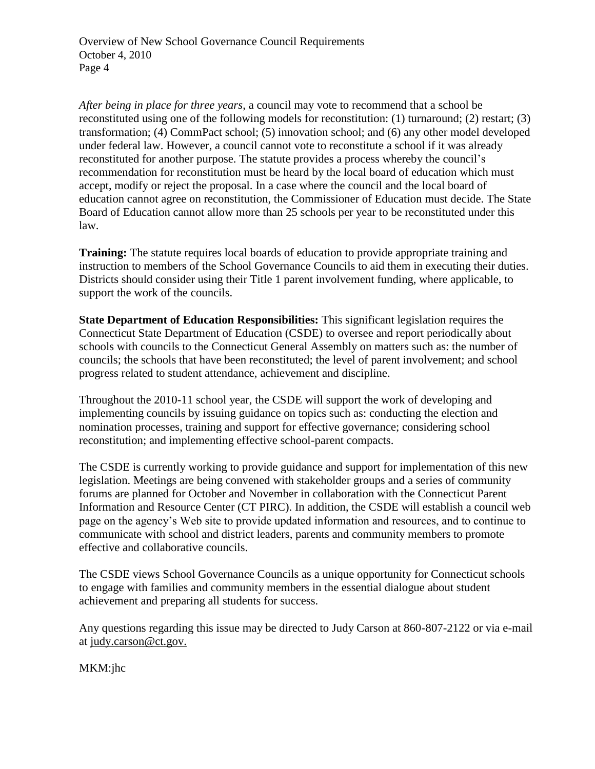Overview of New School Governance Council Requirements October 4, 2010 Page 4

*After being in place for three years*, a council may vote to recommend that a school be reconstituted using one of the following models for reconstitution: (1) turnaround; (2) restart; (3) transformation; (4) CommPact school; (5) innovation school; and (6) any other model developed under federal law. However, a council cannot vote to reconstitute a school if it was already reconstituted for another purpose. The statute provides a process whereby the council's recommendation for reconstitution must be heard by the local board of education which must accept, modify or reject the proposal. In a case where the council and the local board of education cannot agree on reconstitution, the Commissioner of Education must decide. The State Board of Education cannot allow more than 25 schools per year to be reconstituted under this law.

**Training:** The statute requires local boards of education to provide appropriate training and instruction to members of the School Governance Councils to aid them in executing their duties. Districts should consider using their Title 1 parent involvement funding, where applicable, to support the work of the councils.

**State Department of Education Responsibilities:** This significant legislation requires the Connecticut State Department of Education (CSDE) to oversee and report periodically about schools with councils to the Connecticut General Assembly on matters such as: the number of councils; the schools that have been reconstituted; the level of parent involvement; and school progress related to student attendance, achievement and discipline.

Throughout the 2010-11 school year, the CSDE will support the work of developing and implementing councils by issuing guidance on topics such as: conducting the election and nomination processes, training and support for effective governance; considering school reconstitution; and implementing effective school-parent compacts.

The CSDE is currently working to provide guidance and support for implementation of this new legislation. Meetings are being convened with stakeholder groups and a series of community forums are planned for October and November in collaboration with the Connecticut Parent Information and Resource Center (CT PIRC). In addition, the CSDE will establish a council web page on the agency's Web site to provide updated information and resources, and to continue to communicate with school and district leaders, parents and community members to promote effective and collaborative councils.

The CSDE views School Governance Councils as a unique opportunity for Connecticut schools to engage with families and community members in the essential dialogue about student achievement and preparing all students for success.

Any questions regarding this issue may be directed to Judy Carson at 860-807-2122 or via e-mail at [judy.carson@ct.gov.](mailto:judy.carson@ct.gov)

MKM:jhc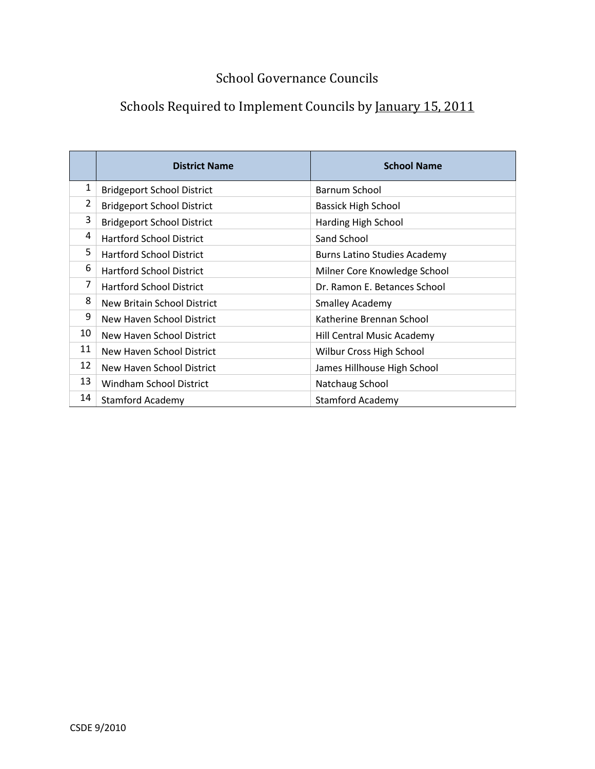## Schools Required to Implement Councils by January 15, 2011

|    | <b>District Name</b>              | <b>School Name</b>                  |
|----|-----------------------------------|-------------------------------------|
| 1  | <b>Bridgeport School District</b> | Barnum School                       |
| 2  | <b>Bridgeport School District</b> | <b>Bassick High School</b>          |
| 3  | <b>Bridgeport School District</b> | Harding High School                 |
| 4  | <b>Hartford School District</b>   | Sand School                         |
| 5  | <b>Hartford School District</b>   | <b>Burns Latino Studies Academy</b> |
| 6  | <b>Hartford School District</b>   | Milner Core Knowledge School        |
| 7  | <b>Hartford School District</b>   | Dr. Ramon E. Betances School        |
| 8  | New Britain School District       | <b>Smalley Academy</b>              |
| 9  | New Haven School District         | Katherine Brennan School            |
| 10 | New Haven School District         | Hill Central Music Academy          |
| 11 | New Haven School District         | Wilbur Cross High School            |
| 12 | New Haven School District         | James Hillhouse High School         |
| 13 | <b>Windham School District</b>    | Natchaug School                     |
| 14 | <b>Stamford Academy</b>           | <b>Stamford Academy</b>             |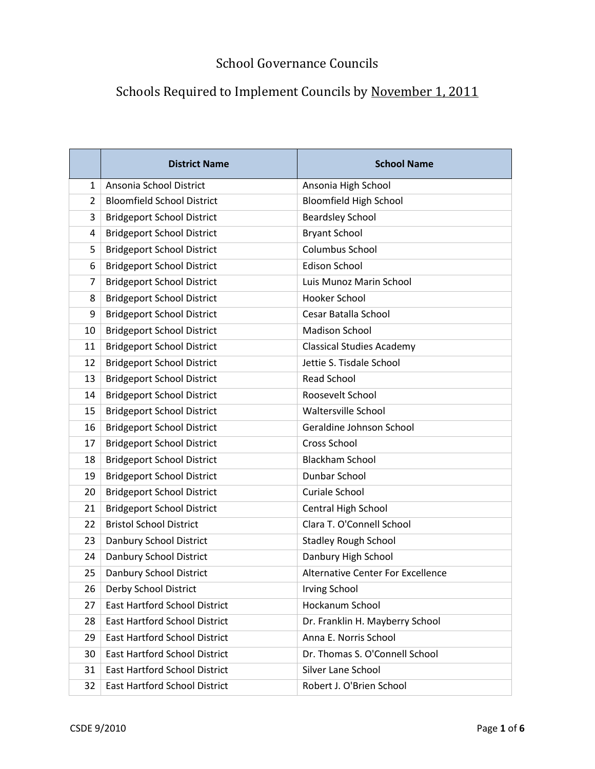|                | <b>District Name</b>                 | <b>School Name</b>                       |
|----------------|--------------------------------------|------------------------------------------|
| $\mathbf{1}$   | Ansonia School District              | Ansonia High School                      |
| $\overline{2}$ | <b>Bloomfield School District</b>    | <b>Bloomfield High School</b>            |
| 3              | <b>Bridgeport School District</b>    | <b>Beardsley School</b>                  |
| 4              | <b>Bridgeport School District</b>    | <b>Bryant School</b>                     |
| 5              | <b>Bridgeport School District</b>    | Columbus School                          |
| 6              | <b>Bridgeport School District</b>    | <b>Edison School</b>                     |
| 7              | <b>Bridgeport School District</b>    | Luis Munoz Marin School                  |
| 8              | <b>Bridgeport School District</b>    | Hooker School                            |
| 9              | <b>Bridgeport School District</b>    | Cesar Batalla School                     |
| 10             | <b>Bridgeport School District</b>    | <b>Madison School</b>                    |
| 11             | <b>Bridgeport School District</b>    | <b>Classical Studies Academy</b>         |
| 12             | <b>Bridgeport School District</b>    | Jettie S. Tisdale School                 |
| 13             | <b>Bridgeport School District</b>    | <b>Read School</b>                       |
| 14             | <b>Bridgeport School District</b>    | Roosevelt School                         |
| 15             | <b>Bridgeport School District</b>    | <b>Waltersville School</b>               |
| 16             | <b>Bridgeport School District</b>    | Geraldine Johnson School                 |
| 17             | <b>Bridgeport School District</b>    | Cross School                             |
| 18             | <b>Bridgeport School District</b>    | <b>Blackham School</b>                   |
| 19             | <b>Bridgeport School District</b>    | Dunbar School                            |
| 20             | <b>Bridgeport School District</b>    | Curiale School                           |
| 21             | <b>Bridgeport School District</b>    | Central High School                      |
| 22             | <b>Bristol School District</b>       | Clara T. O'Connell School                |
| 23             | Danbury School District              | <b>Stadley Rough School</b>              |
| 24             | Danbury School District              | Danbury High School                      |
| 25             | Danbury School District              | <b>Alternative Center For Excellence</b> |
| 26             | Derby School District                | <b>Irving School</b>                     |
| 27             | <b>East Hartford School District</b> | Hockanum School                          |
| 28             | <b>East Hartford School District</b> | Dr. Franklin H. Mayberry School          |
| 29             | <b>East Hartford School District</b> | Anna E. Norris School                    |
| 30             | <b>East Hartford School District</b> | Dr. Thomas S. O'Connell School           |
| 31             | <b>East Hartford School District</b> | Silver Lane School                       |
| 32             | <b>East Hartford School District</b> | Robert J. O'Brien School                 |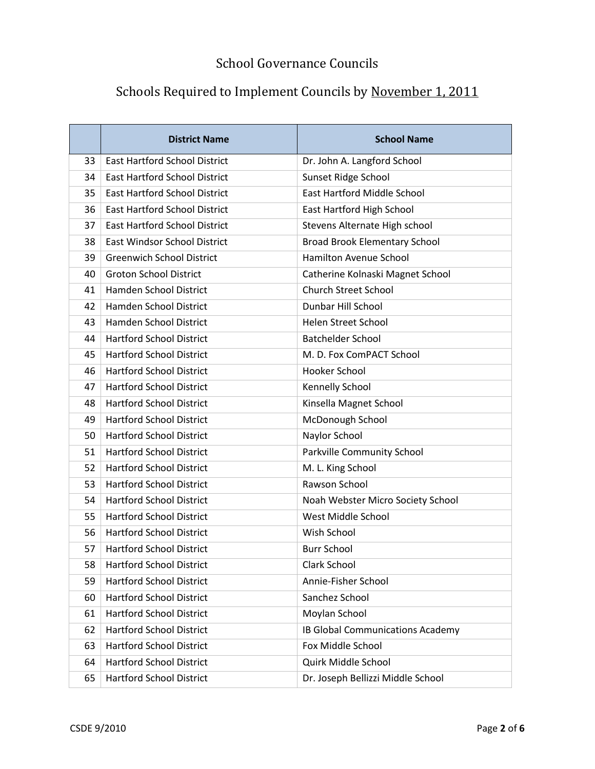|    | <b>District Name</b>                 | <b>School Name</b>                   |
|----|--------------------------------------|--------------------------------------|
| 33 | <b>East Hartford School District</b> | Dr. John A. Langford School          |
| 34 | <b>East Hartford School District</b> | Sunset Ridge School                  |
| 35 | <b>East Hartford School District</b> | East Hartford Middle School          |
| 36 | <b>East Hartford School District</b> | East Hartford High School            |
| 37 | <b>East Hartford School District</b> | Stevens Alternate High school        |
| 38 | <b>East Windsor School District</b>  | <b>Broad Brook Elementary School</b> |
| 39 | <b>Greenwich School District</b>     | <b>Hamilton Avenue School</b>        |
| 40 | <b>Groton School District</b>        | Catherine Kolnaski Magnet School     |
| 41 | Hamden School District               | <b>Church Street School</b>          |
| 42 | <b>Hamden School District</b>        | Dunbar Hill School                   |
| 43 | <b>Hamden School District</b>        | <b>Helen Street School</b>           |
| 44 | <b>Hartford School District</b>      | <b>Batchelder School</b>             |
| 45 | <b>Hartford School District</b>      | M. D. Fox ComPACT School             |
| 46 | <b>Hartford School District</b>      | Hooker School                        |
| 47 | <b>Hartford School District</b>      | Kennelly School                      |
| 48 | <b>Hartford School District</b>      | Kinsella Magnet School               |
| 49 | <b>Hartford School District</b>      | McDonough School                     |
| 50 | <b>Hartford School District</b>      | Naylor School                        |
| 51 | <b>Hartford School District</b>      | Parkville Community School           |
| 52 | <b>Hartford School District</b>      | M. L. King School                    |
| 53 | <b>Hartford School District</b>      | Rawson School                        |
| 54 | <b>Hartford School District</b>      | Noah Webster Micro Society School    |
| 55 | <b>Hartford School District</b>      | West Middle School                   |
| 56 | <b>Hartford School District</b>      | Wish School                          |
| 57 | <b>Hartford School District</b>      | <b>Burr School</b>                   |
| 58 | <b>Hartford School District</b>      | Clark School                         |
| 59 | <b>Hartford School District</b>      | Annie-Fisher School                  |
| 60 | <b>Hartford School District</b>      | Sanchez School                       |
| 61 | <b>Hartford School District</b>      | Moylan School                        |
| 62 | <b>Hartford School District</b>      | IB Global Communications Academy     |
| 63 | <b>Hartford School District</b>      | Fox Middle School                    |
| 64 | <b>Hartford School District</b>      | Quirk Middle School                  |
| 65 | <b>Hartford School District</b>      | Dr. Joseph Bellizzi Middle School    |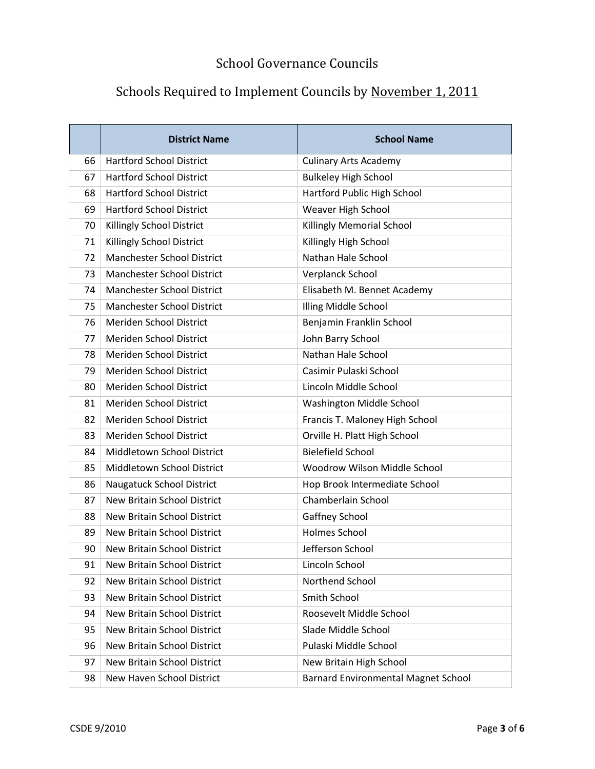|    | <b>District Name</b>               | <b>School Name</b>                         |
|----|------------------------------------|--------------------------------------------|
| 66 | <b>Hartford School District</b>    | <b>Culinary Arts Academy</b>               |
| 67 | <b>Hartford School District</b>    | <b>Bulkeley High School</b>                |
| 68 | <b>Hartford School District</b>    | Hartford Public High School                |
| 69 | <b>Hartford School District</b>    | Weaver High School                         |
| 70 | Killingly School District          | Killingly Memorial School                  |
| 71 | Killingly School District          | Killingly High School                      |
| 72 | <b>Manchester School District</b>  | Nathan Hale School                         |
| 73 | <b>Manchester School District</b>  | Verplanck School                           |
| 74 | <b>Manchester School District</b>  | Elisabeth M. Bennet Academy                |
| 75 | <b>Manchester School District</b>  | Illing Middle School                       |
| 76 | Meriden School District            | Benjamin Franklin School                   |
| 77 | Meriden School District            | John Barry School                          |
| 78 | Meriden School District            | Nathan Hale School                         |
| 79 | Meriden School District            | Casimir Pulaski School                     |
| 80 | Meriden School District            | Lincoln Middle School                      |
| 81 | Meriden School District            | Washington Middle School                   |
| 82 | Meriden School District            | Francis T. Maloney High School             |
| 83 | Meriden School District            | Orville H. Platt High School               |
| 84 | Middletown School District         | <b>Bielefield School</b>                   |
| 85 | Middletown School District         | Woodrow Wilson Middle School               |
| 86 | Naugatuck School District          | Hop Brook Intermediate School              |
| 87 | New Britain School District        | Chamberlain School                         |
| 88 | New Britain School District        | Gaffney School                             |
| 89 | <b>New Britain School District</b> | <b>Holmes School</b>                       |
| 90 | New Britain School District        | Jefferson School                           |
| 91 | <b>New Britain School District</b> | Lincoln School                             |
| 92 | New Britain School District        | Northend School                            |
| 93 | New Britain School District        | Smith School                               |
| 94 | New Britain School District        | Roosevelt Middle School                    |
| 95 | <b>New Britain School District</b> | Slade Middle School                        |
| 96 | New Britain School District        | Pulaski Middle School                      |
| 97 | New Britain School District        | New Britain High School                    |
| 98 | New Haven School District          | <b>Barnard Environmental Magnet School</b> |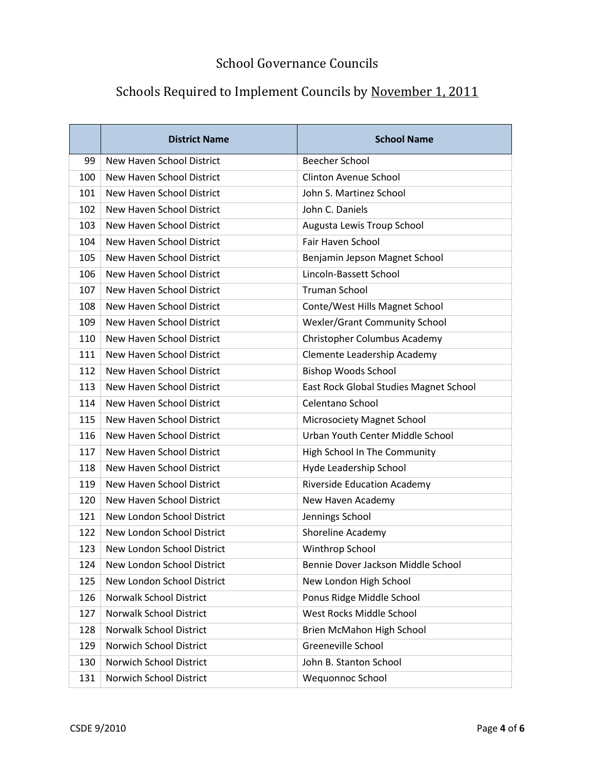|     | <b>District Name</b>             | <b>School Name</b>                     |
|-----|----------------------------------|----------------------------------------|
| 99  | New Haven School District        | <b>Beecher School</b>                  |
| 100 | New Haven School District        | <b>Clinton Avenue School</b>           |
| 101 | New Haven School District        | John S. Martinez School                |
| 102 | New Haven School District        | John C. Daniels                        |
| 103 | <b>New Haven School District</b> | Augusta Lewis Troup School             |
| 104 | New Haven School District        | Fair Haven School                      |
| 105 | New Haven School District        | Benjamin Jepson Magnet School          |
| 106 | New Haven School District        | Lincoln-Bassett School                 |
| 107 | New Haven School District        | <b>Truman School</b>                   |
| 108 | New Haven School District        | Conte/West Hills Magnet School         |
| 109 | New Haven School District        | <b>Wexler/Grant Community School</b>   |
| 110 | New Haven School District        | Christopher Columbus Academy           |
| 111 | New Haven School District        | Clemente Leadership Academy            |
| 112 | New Haven School District        | <b>Bishop Woods School</b>             |
| 113 | New Haven School District        | East Rock Global Studies Magnet School |
| 114 | New Haven School District        | Celentano School                       |
| 115 | New Haven School District        | Microsociety Magnet School             |
| 116 | New Haven School District        | Urban Youth Center Middle School       |
| 117 | New Haven School District        | High School In The Community           |
| 118 | New Haven School District        | Hyde Leadership School                 |
| 119 | New Haven School District        | <b>Riverside Education Academy</b>     |
| 120 | <b>New Haven School District</b> | New Haven Academy                      |
| 121 | New London School District       | Jennings School                        |
| 122 | New London School District       | Shoreline Academy                      |
| 123 | New London School District       | Winthrop School                        |
| 124 | New London School District       | Bennie Dover Jackson Middle School     |
| 125 | New London School District       | New London High School                 |
| 126 | <b>Norwalk School District</b>   | Ponus Ridge Middle School              |
| 127 | Norwalk School District          | West Rocks Middle School               |
| 128 | Norwalk School District          | Brien McMahon High School              |
| 129 | Norwich School District          | Greeneville School                     |
| 130 | Norwich School District          | John B. Stanton School                 |
| 131 | Norwich School District          | Wequonnoc School                       |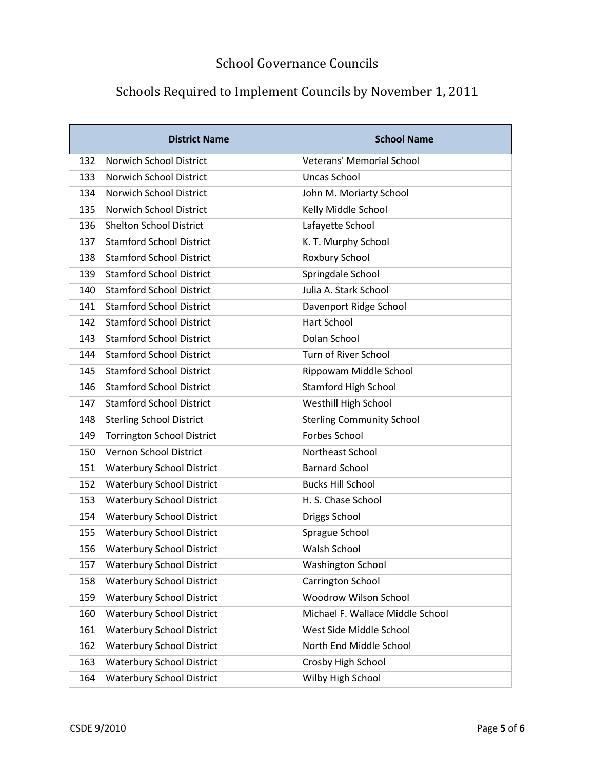|     | <b>District Name</b>              | <b>School Name</b>               |
|-----|-----------------------------------|----------------------------------|
| 132 | <b>Norwich School District</b>    | <b>Veterans' Memorial School</b> |
| 133 | Norwich School District           | <b>Uncas School</b>              |
| 134 | Norwich School District           | John M. Moriarty School          |
| 135 | Norwich School District           | Kelly Middle School              |
| 136 | <b>Shelton School District</b>    | Lafayette School                 |
| 137 | <b>Stamford School District</b>   | K. T. Murphy School              |
| 138 | <b>Stamford School District</b>   | Roxbury School                   |
| 139 | <b>Stamford School District</b>   | Springdale School                |
| 140 | <b>Stamford School District</b>   | Julia A. Stark School            |
| 141 | <b>Stamford School District</b>   | Davenport Ridge School           |
| 142 | <b>Stamford School District</b>   | Hart School                      |
| 143 | <b>Stamford School District</b>   | Dolan School                     |
| 144 | <b>Stamford School District</b>   | Turn of River School             |
| 145 | <b>Stamford School District</b>   | Rippowam Middle School           |
| 146 | <b>Stamford School District</b>   | <b>Stamford High School</b>      |
| 147 | <b>Stamford School District</b>   | Westhill High School             |
| 148 | <b>Sterling School District</b>   | <b>Sterling Community School</b> |
| 149 | <b>Torrington School District</b> | <b>Forbes School</b>             |
| 150 | Vernon School District            | Northeast School                 |
| 151 | <b>Waterbury School District</b>  | <b>Barnard School</b>            |
| 152 | <b>Waterbury School District</b>  | <b>Bucks Hill School</b>         |
| 153 | <b>Waterbury School District</b>  | H. S. Chase School               |
| 154 | <b>Waterbury School District</b>  | Driggs School                    |
| 155 | <b>Waterbury School District</b>  | Sprague School                   |
| 156 | <b>Waterbury School District</b>  | <b>Walsh School</b>              |
| 157 | <b>Waterbury School District</b>  | <b>Washington School</b>         |
| 158 | <b>Waterbury School District</b>  | Carrington School                |
| 159 | <b>Waterbury School District</b>  | Woodrow Wilson School            |
| 160 | <b>Waterbury School District</b>  | Michael F. Wallace Middle School |
| 161 | <b>Waterbury School District</b>  | West Side Middle School          |
| 162 | <b>Waterbury School District</b>  | North End Middle School          |
| 163 | <b>Waterbury School District</b>  | Crosby High School               |
| 164 | <b>Waterbury School District</b>  | Wilby High School                |